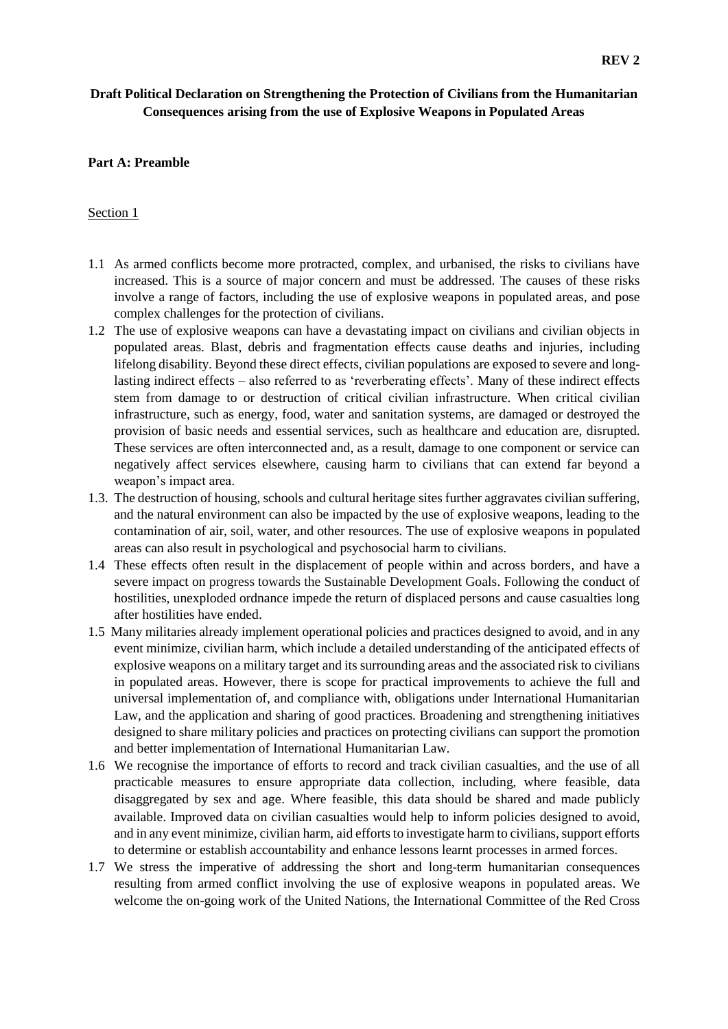# **Draft Political Declaration on Strengthening the Protection of Civilians from the Humanitarian Consequences arising from the use of Explosive Weapons in Populated Areas**

#### **Part A: Preamble**

#### Section 1

- 1.1 As armed conflicts become more protracted, complex, and urbanised, the risks to civilians have increased. This is a source of major concern and must be addressed. The causes of these risks involve a range of factors, including the use of explosive weapons in populated areas, and pose complex challenges for the protection of civilians.
- 1.2 The use of explosive weapons can have a devastating impact on civilians and civilian objects in populated areas. Blast, debris and fragmentation effects cause deaths and injuries, including lifelong disability. Beyond these direct effects, civilian populations are exposed to severe and longlasting indirect effects – also referred to as 'reverberating effects'. Many of these indirect effects stem from damage to or destruction of critical civilian infrastructure. When critical civilian infrastructure, such as energy, food, water and sanitation systems, are damaged or destroyed the provision of basic needs and essential services, such as healthcare and education are, disrupted. These services are often interconnected and, as a result, damage to one component or service can negatively affect services elsewhere, causing harm to civilians that can extend far beyond a weapon's impact area.
- 1.3. The destruction of housing, schools and cultural heritage sites further aggravates civilian suffering, and the natural environment can also be impacted by the use of explosive weapons, leading to the contamination of air, soil, water, and other resources. The use of explosive weapons in populated areas can also result in psychological and psychosocial harm to civilians.
- 1.4 These effects often result in the displacement of people within and across borders, and have a severe impact on progress towards the Sustainable Development Goals. Following the conduct of hostilities, unexploded ordnance impede the return of displaced persons and cause casualties long after hostilities have ended.
- 1.5 Many militaries already implement operational policies and practices designed to avoid, and in any event minimize, civilian harm, which include a detailed understanding of the anticipated effects of explosive weapons on a military target and its surrounding areas and the associated risk to civilians in populated areas. However, there is scope for practical improvements to achieve the full and universal implementation of, and compliance with, obligations under International Humanitarian Law, and the application and sharing of good practices. Broadening and strengthening initiatives designed to share military policies and practices on protecting civilians can support the promotion and better implementation of International Humanitarian Law.
- 1.6 We recognise the importance of efforts to record and track civilian casualties, and the use of all practicable measures to ensure appropriate data collection, including, where feasible, data disaggregated by sex and age. Where feasible, this data should be shared and made publicly available. Improved data on civilian casualties would help to inform policies designed to avoid, and in any event minimize, civilian harm, aid efforts to investigate harm to civilians, support efforts to determine or establish accountability and enhance lessons learnt processes in armed forces.
- 1.7 We stress the imperative of addressing the short and long-term humanitarian consequences resulting from armed conflict involving the use of explosive weapons in populated areas. We welcome the on-going work of the United Nations, the International Committee of the Red Cross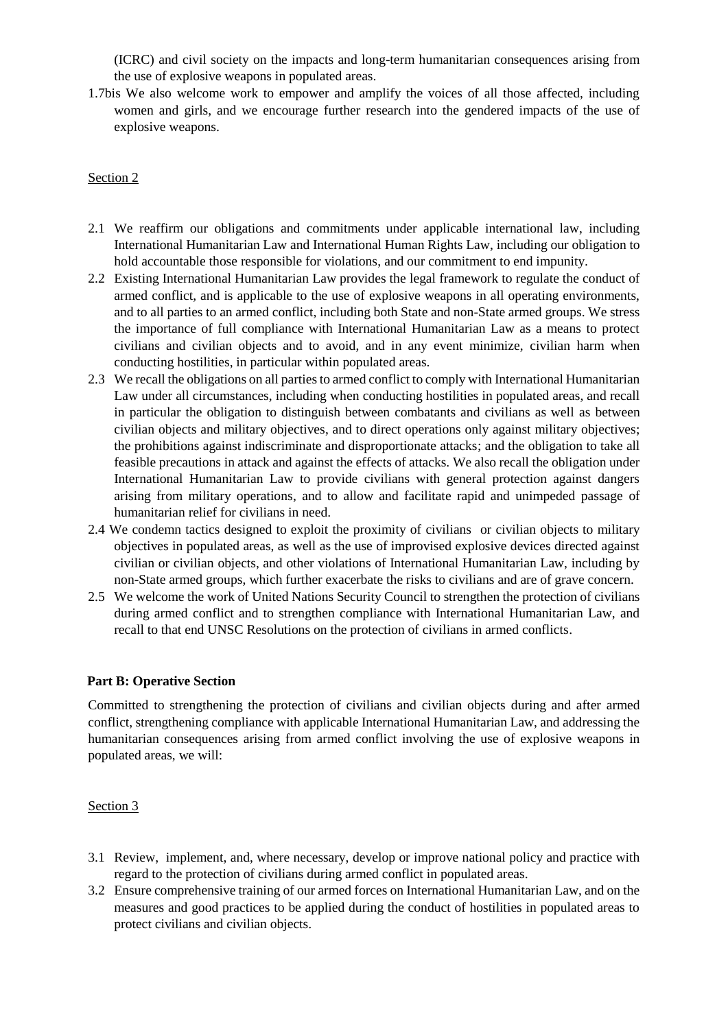(ICRC) and civil society on the impacts and long-term humanitarian consequences arising from the use of explosive weapons in populated areas.

1.7bis We also welcome work to empower and amplify the voices of all those affected, including women and girls, and we encourage further research into the gendered impacts of the use of explosive weapons.

### Section 2

- 2.1 We reaffirm our obligations and commitments under applicable international law, including International Humanitarian Law and International Human Rights Law, including our obligation to hold accountable those responsible for violations, and our commitment to end impunity.
- 2.2 Existing International Humanitarian Law provides the legal framework to regulate the conduct of armed conflict, and is applicable to the use of explosive weapons in all operating environments, and to all parties to an armed conflict, including both State and non-State armed groups. We stress the importance of full compliance with International Humanitarian Law as a means to protect civilians and civilian objects and to avoid, and in any event minimize, civilian harm when conducting hostilities, in particular within populated areas.
- 2.3 We recall the obligations on all parties to armed conflict to comply with International Humanitarian Law under all circumstances, including when conducting hostilities in populated areas, and recall in particular the obligation to distinguish between combatants and civilians as well as between civilian objects and military objectives, and to direct operations only against military objectives; the prohibitions against indiscriminate and disproportionate attacks; and the obligation to take all feasible precautions in attack and against the effects of attacks. We also recall the obligation under International Humanitarian Law to provide civilians with general protection against dangers arising from military operations, and to allow and facilitate rapid and unimpeded passage of humanitarian relief for civilians in need.
- 2.4 We condemn tactics designed to exploit the proximity of civilians or civilian objects to military objectives in populated areas, as well as the use of improvised explosive devices directed against civilian or civilian objects, and other violations of International Humanitarian Law, including by non-State armed groups, which further exacerbate the risks to civilians and are of grave concern.
- 2.5 We welcome the work of United Nations Security Council to strengthen the protection of civilians during armed conflict and to strengthen compliance with International Humanitarian Law, and recall to that end UNSC Resolutions on the protection of civilians in armed conflicts.

### **Part B: Operative Section**

Committed to strengthening the protection of civilians and civilian objects during and after armed conflict, strengthening compliance with applicable International Humanitarian Law, and addressing the humanitarian consequences arising from armed conflict involving the use of explosive weapons in populated areas, we will:

### Section 3

- 3.1 Review, implement, and, where necessary, develop or improve national policy and practice with regard to the protection of civilians during armed conflict in populated areas.
- 3.2 Ensure comprehensive training of our armed forces on International Humanitarian Law, and on the measures and good practices to be applied during the conduct of hostilities in populated areas to protect civilians and civilian objects.